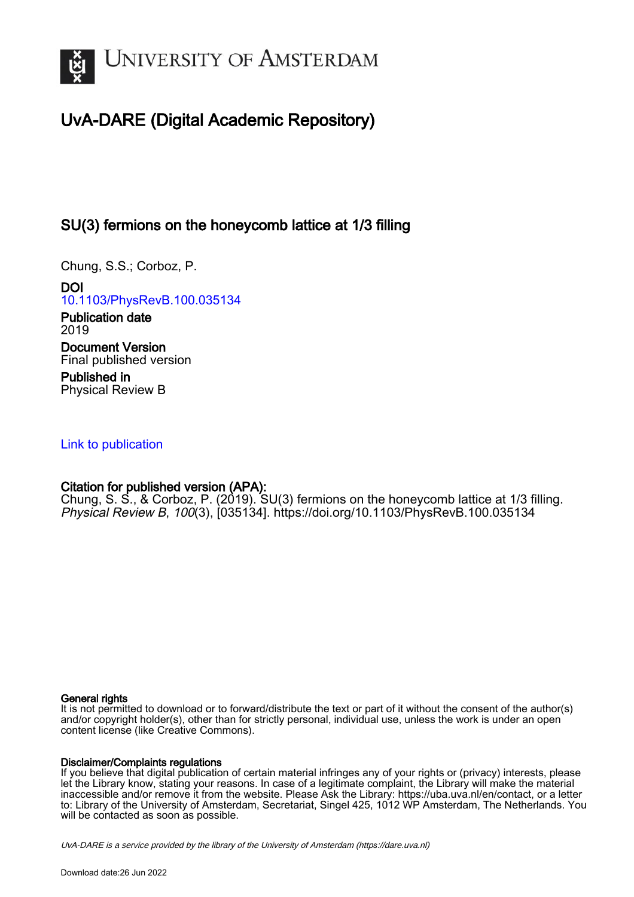

# UvA-DARE (Digital Academic Repository)

## SU(3) fermions on the honeycomb lattice at 1/3 filling

Chung, S.S.; Corboz, P.

DOI [10.1103/PhysRevB.100.035134](https://doi.org/10.1103/PhysRevB.100.035134)

Publication date 2019 Document Version Final published version

Published in Physical Review B

## [Link to publication](https://dare.uva.nl/personal/pure/en/publications/su3-fermions-on-the-honeycomb-lattice-at-13-filling(e813e17c-bb01-4cac-9277-d1ca0fa16cfa).html)

## Citation for published version (APA):

Chung, S. S., & Corboz, P. (2019). SU(3) fermions on the honeycomb lattice at 1/3 filling. Physical Review B, 100(3), [035134]. <https://doi.org/10.1103/PhysRevB.100.035134>

### General rights

It is not permitted to download or to forward/distribute the text or part of it without the consent of the author(s) and/or copyright holder(s), other than for strictly personal, individual use, unless the work is under an open content license (like Creative Commons).

### Disclaimer/Complaints regulations

If you believe that digital publication of certain material infringes any of your rights or (privacy) interests, please let the Library know, stating your reasons. In case of a legitimate complaint, the Library will make the material inaccessible and/or remove it from the website. Please Ask the Library: https://uba.uva.nl/en/contact, or a letter to: Library of the University of Amsterdam, Secretariat, Singel 425, 1012 WP Amsterdam, The Netherlands. You will be contacted as soon as possible.

UvA-DARE is a service provided by the library of the University of Amsterdam (http*s*://dare.uva.nl)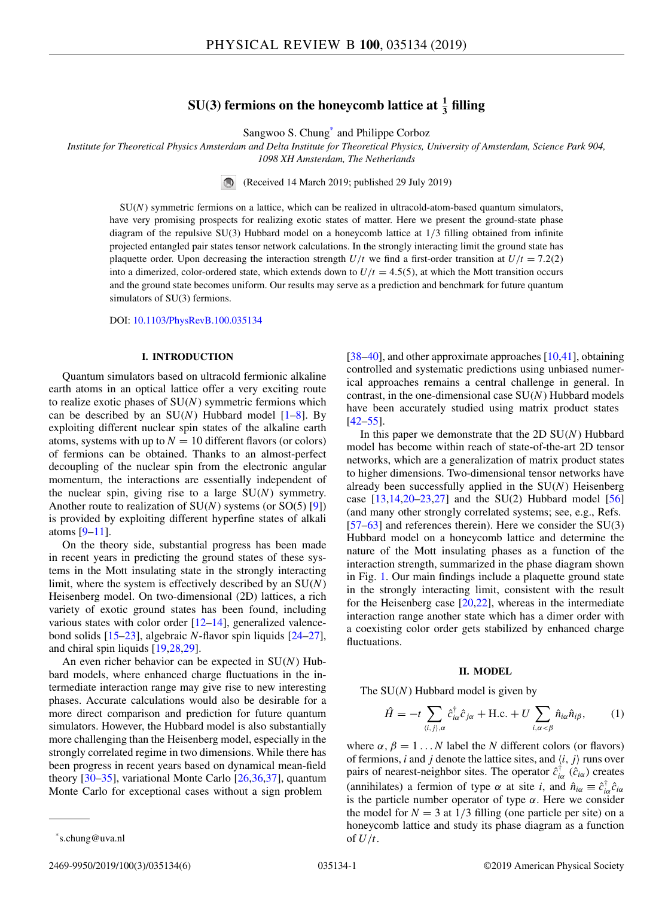## $SU(3)$  fermions on the honeycomb lattice at  $\frac{1}{3}$  filling

Sangwoo S. Chung\* and Philippe Corboz

*Institute for Theoretical Physics Amsterdam and Delta Institute for Theoretical Physics, University of Amsterdam, Science Park 904, 1098 XH Amsterdam, The Netherlands*

(Received 14 March 2019; published 29 July 2019)

SU(*N*) symmetric fermions on a lattice, which can be realized in ultracold-atom-based quantum simulators, have very promising prospects for realizing exotic states of matter. Here we present the ground-state phase diagram of the repulsive SU(3) Hubbard model on a honeycomb lattice at 1/3 filling obtained from infinite projected entangled pair states tensor network calculations. In the strongly interacting limit the ground state has plaquette order. Upon decreasing the interaction strength  $U/t$  we find a first-order transition at  $U/t = 7.2(2)$ into a dimerized, color-ordered state, which extends down to  $U/t = 4.5(5)$ , at which the Mott transition occurs and the ground state becomes uniform. Our results may serve as a prediction and benchmark for future quantum simulators of SU(3) fermions.

DOI: [10.1103/PhysRevB.100.035134](https://doi.org/10.1103/PhysRevB.100.035134)

#### **I. INTRODUCTION**

Quantum simulators based on ultracold fermionic alkaline earth atoms in an optical lattice offer a very exciting route to realize exotic phases of SU(*N*) symmetric fermions which can be described by an  $SU(N)$  Hubbard model  $[1-8]$ . By exploiting different nuclear spin states of the alkaline earth atoms, systems with up to  $N = 10$  different flavors (or colors) of fermions can be obtained. Thanks to an almost-perfect decoupling of the nuclear spin from the electronic angular momentum, the interactions are essentially independent of the nuclear spin, giving rise to a large SU(*N*) symmetry. Another route to realization of SU(*N*) systems (or SO(5) [\[9\]](#page-5-0)) is provided by exploiting different hyperfine states of alkali atoms [\[9–11\]](#page-5-0).

On the theory side, substantial progress has been made in recent years in predicting the ground states of these systems in the Mott insulating state in the strongly interacting limit, where the system is effectively described by an SU(*N*) Heisenberg model. On two-dimensional (2D) lattices, a rich variety of exotic ground states has been found, including various states with color order [\[12–14\]](#page-5-0), generalized valencebond solids [\[15–23\]](#page-5-0), algebraic *N*-flavor spin liquids [\[24–27\]](#page-5-0), and chiral spin liquids [\[19,28,29\]](#page-5-0).

An even richer behavior can be expected in SU(*N*) Hubbard models, where enhanced charge fluctuations in the intermediate interaction range may give rise to new interesting phases. Accurate calculations would also be desirable for a more direct comparison and prediction for future quantum simulators. However, the Hubbard model is also substantially more challenging than the Heisenberg model, especially in the strongly correlated regime in two dimensions. While there has been progress in recent years based on dynamical mean-field theory [\[30–35\]](#page-5-0), variational Monte Carlo [\[26,36,37\]](#page-5-0), quantum Monte Carlo for exceptional cases without a sign problem

[\[38–40\]](#page-5-0), and other approximate approaches [\[10,41\]](#page-5-0), obtaining controlled and systematic predictions using unbiased numerical approaches remains a central challenge in general. In contrast, in the one-dimensional case SU(*N*) Hubbard models have been accurately studied using matrix product states  $[42 - 55]$ .

In this paper we demonstrate that the 2D SU(*N*) Hubbard model has become within reach of state-of-the-art 2D tensor networks, which are a generalization of matrix product states to higher dimensions. Two-dimensional tensor networks have already been successfully applied in the SU(*N*) Heisenberg case  $[13, 14, 20-23, 27]$  and the SU(2) Hubbard model  $[56]$ (and many other strongly correlated systems; see, e.g., Refs.  $[57–63]$  $[57–63]$  and references therein). Here we consider the SU(3) Hubbard model on a honeycomb lattice and determine the nature of the Mott insulating phases as a function of the interaction strength, summarized in the phase diagram shown in Fig. [1.](#page-2-0) Our main findings include a plaquette ground state in the strongly interacting limit, consistent with the result for the Heisenberg case  $[20,22]$ , whereas in the intermediate interaction range another state which has a dimer order with a coexisting color order gets stabilized by enhanced charge fluctuations.

#### **II. MODEL**

The SU(*N*) Hubbard model is given by

$$
\hat{H} = -t \sum_{\langle i,j\rangle,\alpha} \hat{c}_{i\alpha}^{\dagger} \hat{c}_{j\alpha} + \text{H.c.} + U \sum_{i,\alpha < \beta} \hat{n}_{i\alpha} \hat{n}_{i\beta},\tag{1}
$$

where  $\alpha$ ,  $\beta = 1...N$  label the *N* different colors (or flavors) of fermions, *i* and *j* denote the lattice sites, and  $\langle i, j \rangle$  runs over pairs of nearest-neighbor sites. The operator  $\hat{c}^{\dagger}_{i\alpha}$  ( $\hat{c}_{i\alpha}$ ) creates (annihilates) a fermion of type  $\alpha$  at site *i*, and  $\hat{n}_{i\alpha} \equiv \hat{c}^{\dagger}_{i\alpha} \hat{c}_{i\alpha}$ is the particle number operator of type  $\alpha$ . Here we consider the model for  $N = 3$  at  $1/3$  filling (one particle per site) on a honeycomb lattice and study its phase diagram as a function of  $U/t$ .

<sup>\*</sup>s.chung@uva.nl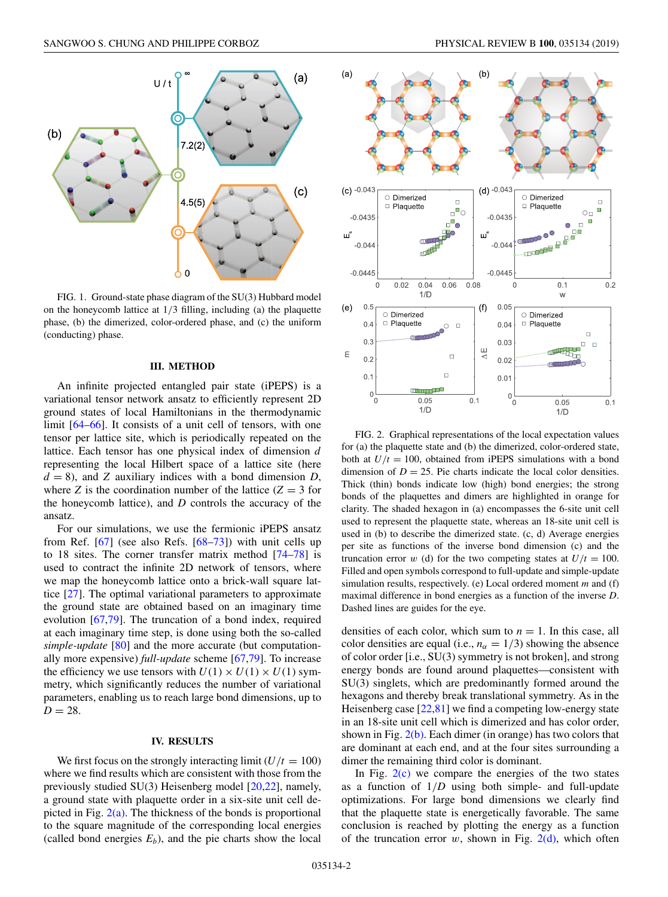<span id="page-2-0"></span>

FIG. 1. Ground-state phase diagram of the SU(3) Hubbard model on the honeycomb lattice at 1/3 filling, including (a) the plaquette phase, (b) the dimerized, color-ordered phase, and (c) the uniform (conducting) phase.

#### **III. METHOD**

An infinite projected entangled pair state (iPEPS) is a variational tensor network ansatz to efficiently represent 2D ground states of local Hamiltonians in the thermodynamic limit [\[64–66\]](#page-6-0). It consists of a unit cell of tensors, with one tensor per lattice site, which is periodically repeated on the lattice. Each tensor has one physical index of dimension *d* representing the local Hilbert space of a lattice site (here  $d = 8$ ), and *Z* auxiliary indices with a bond dimension *D*, where *Z* is the coordination number of the lattice  $(Z = 3$  for the honeycomb lattice), and *D* controls the accuracy of the ansatz.

For our simulations, we use the fermionic iPEPS ansatz from Ref. [\[67\]](#page-6-0) (see also Refs. [\[68–73\]](#page-6-0)) with unit cells up to 18 sites. The corner transfer matrix method [\[74–78\]](#page-6-0) is used to contract the infinite 2D network of tensors, where we map the honeycomb lattice onto a brick-wall square lattice [\[27\]](#page-5-0). The optimal variational parameters to approximate the ground state are obtained based on an imaginary time evolution [\[67,79\]](#page-6-0). The truncation of a bond index, required at each imaginary time step, is done using both the so-called *simple-update* [\[80\]](#page-6-0) and the more accurate (but computationally more expensive) *full-update* scheme [\[67,79\]](#page-6-0). To increase the efficiency we use tensors with  $U(1) \times U(1) \times U(1)$  symmetry, which significantly reduces the number of variational parameters, enabling us to reach large bond dimensions, up to  $D = 28$ .

#### **IV. RESULTS**

We first focus on the strongly interacting limit  $(U/t = 100)$ where we find results which are consistent with those from the previously studied SU(3) Heisenberg model [\[20,22\]](#page-5-0), namely, a ground state with plaquette order in a six-site unit cell depicted in Fig.  $2(a)$ . The thickness of the bonds is proportional to the square magnitude of the corresponding local energies (called bond energies  $E_b$ ), and the pie charts show the local





FIG. 2. Graphical representations of the local expectation values for (a) the plaquette state and (b) the dimerized, color-ordered state, both at  $U/t = 100$ , obtained from iPEPS simulations with a bond dimension of  $D = 25$ . Pie charts indicate the local color densities. Thick (thin) bonds indicate low (high) bond energies; the strong bonds of the plaquettes and dimers are highlighted in orange for clarity. The shaded hexagon in (a) encompasses the 6-site unit cell used to represent the plaquette state, whereas an 18-site unit cell is used in (b) to describe the dimerized state. (c, d) Average energies per site as functions of the inverse bond dimension (c) and the truncation error *w* (d) for the two competing states at  $U/t = 100$ . Filled and open symbols correspond to full-update and simple-update simulation results, respectively. (e) Local ordered moment *m* and (f) maximal difference in bond energies as a function of the inverse *D*. Dashed lines are guides for the eye.

densities of each color, which sum to  $n = 1$ . In this case, all color densities are equal (i.e.,  $n_{\alpha} = 1/3$ ) showing the absence of color order [i.e., SU(3) symmetry is not broken], and strong energy bonds are found around plaquettes—consistent with SU(3) singlets, which are predominantly formed around the hexagons and thereby break translational symmetry. As in the Heisenberg case [\[22](#page-5-0)[,81\]](#page-6-0) we find a competing low-energy state in an 18-site unit cell which is dimerized and has color order, shown in Fig.  $2(b)$ . Each dimer (in orange) has two colors that are dominant at each end, and at the four sites surrounding a dimer the remaining third color is dominant.

In Fig.  $2(c)$  we compare the energies of the two states as a function of  $1/D$  using both simple- and full-update optimizations. For large bond dimensions we clearly find that the plaquette state is energetically favorable. The same conclusion is reached by plotting the energy as a function of the truncation error  $w$ , shown in Fig. 2(d), which often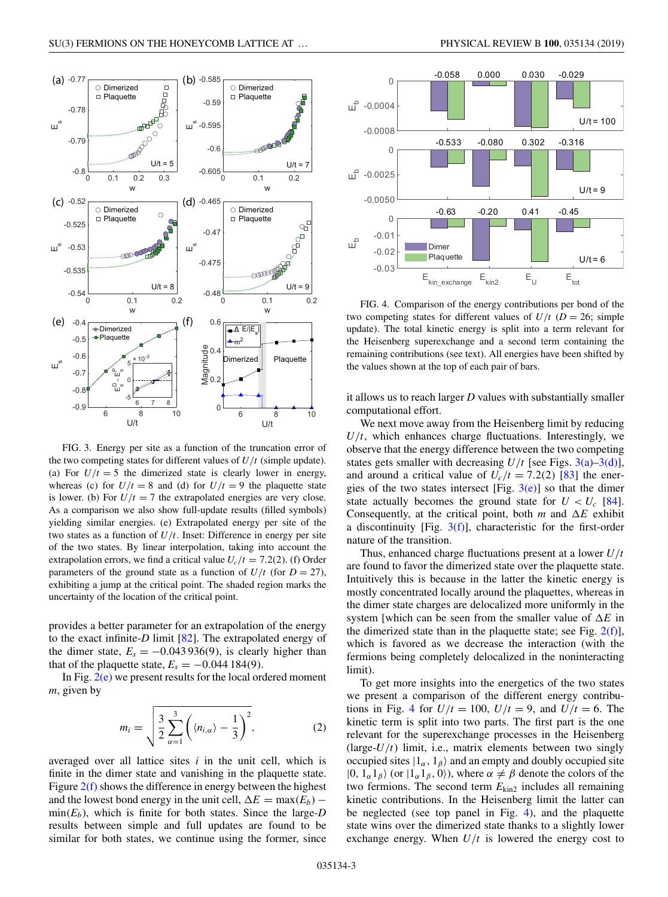<span id="page-3-0"></span>

FIG. 3. Energy per site as a function of the truncation error of the two competing states for different values of *U*/*t* (simple update). (a) For  $U/t = 5$  the dimerized state is clearly lower in energy, whereas (c) for  $U/t = 8$  and (d) for  $U/t = 9$  the plaquette state is lower. (b) For  $U/t = 7$  the extrapolated energies are very close. As a comparison we also show full-update results (filled symbols) yielding similar energies. (e) Extrapolated energy per site of the two states as a function of  $U/t$ . Inset: Difference in energy per site of the two states. By linear interpolation, taking into account the extrapolation errors, we find a critical value  $U_c/t = 7.2(2)$ . (f) Order parameters of the ground state as a function of  $U/t$  (for  $D = 27$ ), exhibiting a jump at the critical point. The shaded region marks the uncertainty of the location of the critical point.

provides a better parameter for an extrapolation of the energy to the exact infinite-*D* limit [\[82\]](#page-6-0). The extrapolated energy of the dimer state,  $E_s = -0.043936(9)$ , is clearly higher than that of the plaquette state,  $E_s = -0.044184(9)$ .

In Fig.  $2(e)$  we present results for the local ordered moment *m*, given by

$$
m_i = \sqrt{\frac{3}{2} \sum_{\alpha=1}^{3} \left( \langle n_{i,\alpha} \rangle - \frac{1}{3} \right)^2},
$$
 (2)

averaged over all lattice sites *i* in the unit cell, which is finite in the dimer state and vanishing in the plaquette state. Figure  $2(f)$  shows the difference in energy between the highest and the lowest bond energy in the unit cell,  $\Delta E = \max(E_b)$  –  $min(E_b)$ , which is finite for both states. Since the large-*D* results between simple and full updates are found to be similar for both states, we continue using the former, since



FIG. 4. Comparison of the energy contributions per bond of the two competing states for different values of  $U/t$  ( $D = 26$ ; simple update). The total kinetic energy is split into a term relevant for the Heisenberg superexchange and a second term containing the remaining contributions (see text). All energies have been shifted by the values shown at the top of each pair of bars.

it allows us to reach larger *D* values with substantially smaller computational effort.

We next move away from the Heisenberg limit by reducing  $U/t$ , which enhances charge fluctuations. Interestingly, we observe that the energy difference between the two competing states gets smaller with decreasing  $U/t$  [see Figs. 3(a)–3(d)], and around a critical value of  $U_c/t = 7.2(2)$  [\[83\]](#page-6-0) the energies of the two states intersect [Fig.  $3(e)$ ] so that the dimer state actually becomes the ground state for  $U < U_c$  [\[84\]](#page-6-0). Consequently, at the critical point, both  $m$  and  $\Delta E$  exhibit a discontinuity [Fig.  $3(f)$ ], characteristic for the first-order nature of the transition.

Thus, enhanced charge fluctuations present at a lower *U*/*t* are found to favor the dimerized state over the plaquette state. Intuitively this is because in the latter the kinetic energy is mostly concentrated locally around the plaquettes, whereas in the dimer state charges are delocalized more uniformly in the system [which can be seen from the smaller value of  $\Delta E$  in the dimerized state than in the plaquette state; see Fig.  $2(f)$ ], which is favored as we decrease the interaction (with the fermions being completely delocalized in the noninteracting limit).

To get more insights into the energetics of the two states we present a comparison of the different energy contributions in Fig. 4 for  $U/t = 100$ ,  $U/t = 9$ , and  $U/t = 6$ . The kinetic term is split into two parts. The first part is the one relevant for the superexchange processes in the Heisenberg (large- $U/t$ ) limit, i.e., matrix elements between two singly occupied sites  $|1_{\alpha}, 1_{\beta}\rangle$  and an empty and doubly occupied site  $|0, 1_{\alpha}1_{\beta}\rangle$  (or  $|1_{\alpha}1_{\beta}, 0\rangle$ ), where  $\alpha \neq \beta$  denote the colors of the two fermions. The second term  $E_{\text{kin2}}$  includes all remaining kinetic contributions. In the Heisenberg limit the latter can be neglected (see top panel in Fig. 4), and the plaquette state wins over the dimerized state thanks to a slightly lower exchange energy. When  $U/t$  is lowered the energy cost to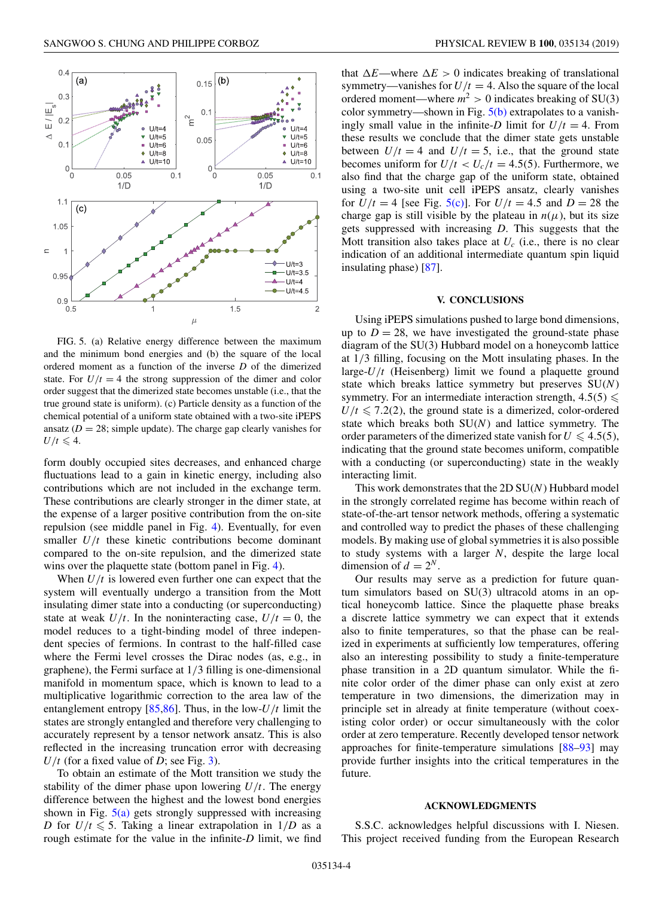

FIG. 5. (a) Relative energy difference between the maximum and the minimum bond energies and (b) the square of the local ordered moment as a function of the inverse *D* of the dimerized state. For  $U/t = 4$  the strong suppression of the dimer and color order suggest that the dimerized state becomes unstable (i.e., that the true ground state is uniform). (c) Particle density as a function of the chemical potential of a uniform state obtained with a two-site iPEPS ansatz ( $D = 28$ ; simple update). The charge gap clearly vanishes for  $U/t \leqslant 4.$ 

form doubly occupied sites decreases, and enhanced charge fluctuations lead to a gain in kinetic energy, including also contributions which are not included in the exchange term. These contributions are clearly stronger in the dimer state, at the expense of a larger positive contribution from the on-site repulsion (see middle panel in Fig. [4\)](#page-3-0). Eventually, for even smaller  $U/t$  these kinetic contributions become dominant compared to the on-site repulsion, and the dimerized state wins over the plaquette state (bottom panel in Fig. [4\)](#page-3-0).

When  $U/t$  is lowered even further one can expect that the system will eventually undergo a transition from the Mott insulating dimer state into a conducting (or superconducting) state at weak  $U/t$ . In the noninteracting case,  $U/t = 0$ , the model reduces to a tight-binding model of three independent species of fermions. In contrast to the half-filled case where the Fermi level crosses the Dirac nodes (as, e.g., in graphene), the Fermi surface at 1/3 filling is one-dimensional manifold in momentum space, which is known to lead to a multiplicative logarithmic correction to the area law of the entanglement entropy  $[85,86]$ . Thus, in the low- $U/t$  limit the states are strongly entangled and therefore very challenging to accurately represent by a tensor network ansatz. This is also reflected in the increasing truncation error with decreasing  $U/t$  (for a fixed value of *D*; see Fig. [3\)](#page-3-0).

To obtain an estimate of the Mott transition we study the stability of the dimer phase upon lowering  $U/t$ . The energy difference between the highest and the lowest bond energies shown in Fig.  $5(a)$  gets strongly suppressed with increasing *D* for  $U/t \le 5$ . Taking a linear extrapolation in  $1/D$  as a rough estimate for the value in the infinite-*D* limit, we find that  $\Delta E$ —where  $\Delta E > 0$  indicates breaking of translational symmetry—vanishes for  $U/t = 4$ . Also the square of the local ordered moment—where  $m^2 > 0$  indicates breaking of SU(3) color symmetry—shown in Fig.  $5(b)$  extrapolates to a vanishingly small value in the infinite-*D* limit for  $U/t = 4$ . From these results we conclude that the dimer state gets unstable between  $U/t = 4$  and  $U/t = 5$ , i.e., that the ground state becomes uniform for  $U/t < U_c/t = 4.5(5)$ . Furthermore, we also find that the charge gap of the uniform state, obtained using a two-site unit cell iPEPS ansatz, clearly vanishes for  $U/t = 4$  [see Fig. 5(c)]. For  $U/t = 4.5$  and  $D = 28$  the charge gap is still visible by the plateau in  $n(\mu)$ , but its size gets suppressed with increasing *D*. This suggests that the Mott transition also takes place at  $U_c$  (i.e., there is no clear indication of an additional intermediate quantum spin liquid insulating phase) [\[87\]](#page-6-0).

#### **V. CONCLUSIONS**

Using iPEPS simulations pushed to large bond dimensions, up to  $D = 28$ , we have investigated the ground-state phase diagram of the SU(3) Hubbard model on a honeycomb lattice at 1/3 filling, focusing on the Mott insulating phases. In the large-*U*/*t* (Heisenberg) limit we found a plaquette ground state which breaks lattice symmetry but preserves SU(*N*) symmetry. For an intermediate interaction strength,  $4.5(5) \le$  $U/t \leq 7.2(2)$ , the ground state is a dimerized, color-ordered state which breaks both SU(*N*) and lattice symmetry. The order parameters of the dimerized state vanish for  $U \leq 4.5(5)$ , indicating that the ground state becomes uniform, compatible with a conducting (or superconducting) state in the weakly interacting limit.

This work demonstrates that the 2D SU(*N*) Hubbard model in the strongly correlated regime has become within reach of state-of-the-art tensor network methods, offering a systematic and controlled way to predict the phases of these challenging models. By making use of global symmetries it is also possible to study systems with a larger *N*, despite the large local dimension of  $d = 2^N$ .

Our results may serve as a prediction for future quantum simulators based on SU(3) ultracold atoms in an optical honeycomb lattice. Since the plaquette phase breaks a discrete lattice symmetry we can expect that it extends also to finite temperatures, so that the phase can be realized in experiments at sufficiently low temperatures, offering also an interesting possibility to study a finite-temperature phase transition in a 2D quantum simulator. While the finite color order of the dimer phase can only exist at zero temperature in two dimensions, the dimerization may in principle set in already at finite temperature (without coexisting color order) or occur simultaneously with the color order at zero temperature. Recently developed tensor network approaches for finite-temperature simulations [\[88–93\]](#page-6-0) may provide further insights into the critical temperatures in the future.

#### **ACKNOWLEDGMENTS**

S.S.C. acknowledges helpful discussions with I. Niesen. This project received funding from the European Research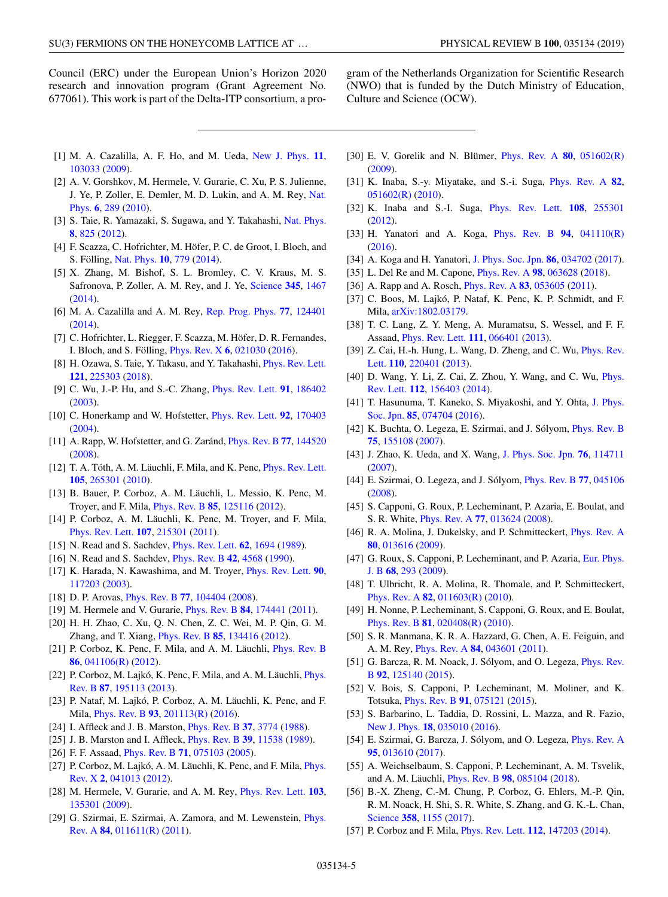<span id="page-5-0"></span>Council (ERC) under the European Union's Horizon 2020 research and innovation program (Grant Agreement No. 677061). This work is part of the Delta-ITP consortium, a pro-

gram of the Netherlands Organization for Scientific Research (NWO) that is funded by the Dutch Ministry of Education, Culture and Science (OCW).

- [1] M. A. Cazalilla, A. F. Ho, and M. Ueda, [New J. Phys.](https://doi.org/10.1088/1367-2630/11/10/103033) **[11](https://doi.org/10.1088/1367-2630/11/10/103033)**, [103033](https://doi.org/10.1088/1367-2630/11/10/103033) [\(2009\)](https://doi.org/10.1088/1367-2630/11/10/103033).
- [2] A. V. Gorshkov, M. Hermele, V. Gurarie, C. Xu, P. S. Julienne, [J. Ye, P. Zoller, E. Demler, M. D. Lukin, and A. M. Rey,](https://doi.org/10.1038/nphys1535) Nat. Phys. **[6](https://doi.org/10.1038/nphys1535)**, [289](https://doi.org/10.1038/nphys1535) [\(2010\)](https://doi.org/10.1038/nphys1535).
- [3] S. Taie, R. Yamazaki, S. Sugawa, and Y. Takahashi, [Nat. Phys.](https://doi.org/10.1038/nphys2430) **[8](https://doi.org/10.1038/nphys2430)**, [825](https://doi.org/10.1038/nphys2430) [\(2012\)](https://doi.org/10.1038/nphys2430).
- [4] F. Scazza, C. Hofrichter, M. Höfer, P. C. de Groot, I. Bloch, and S. Fölling, [Nat. Phys.](https://doi.org/10.1038/nphys3061) **[10](https://doi.org/10.1038/nphys3061)**, [779](https://doi.org/10.1038/nphys3061) [\(2014\)](https://doi.org/10.1038/nphys3061).
- [5] X. Zhang, M. Bishof, S. L. Bromley, C. V. Kraus, M. S. Safronova, P. Zoller, A. M. Rey, and J. Ye, [Science](https://doi.org/10.1126/science.1254978) **[345](https://doi.org/10.1126/science.1254978)**, [1467](https://doi.org/10.1126/science.1254978) [\(2014\)](https://doi.org/10.1126/science.1254978).
- [6] M. A. Cazalilla and A. M. Rey, [Rep. Prog. Phys.](https://doi.org/10.1088/0034-4885/77/12/124401) **[77](https://doi.org/10.1088/0034-4885/77/12/124401)**, [124401](https://doi.org/10.1088/0034-4885/77/12/124401) [\(2014\)](https://doi.org/10.1088/0034-4885/77/12/124401).
- [7] C. Hofrichter, L. Riegger, F. Scazza, M. Höfer, D. R. Fernandes, I. Bloch, and S. Fölling, [Phys. Rev. X](https://doi.org/10.1103/PhysRevX.6.021030) **[6](https://doi.org/10.1103/PhysRevX.6.021030)**, [021030](https://doi.org/10.1103/PhysRevX.6.021030) [\(2016\)](https://doi.org/10.1103/PhysRevX.6.021030).
- [8] H. Ozawa, S. Taie, Y. Takasu, and Y. Takahashi, *[Phys. Rev. Lett.](https://doi.org/10.1103/PhysRevLett.121.225303)* **[121](https://doi.org/10.1103/PhysRevLett.121.225303)**, [225303](https://doi.org/10.1103/PhysRevLett.121.225303) [\(2018\)](https://doi.org/10.1103/PhysRevLett.121.225303).
- [9] C. Wu, J.-P. Hu, and S.-C. Zhang, [Phys. Rev. Lett.](https://doi.org/10.1103/PhysRevLett.91.186402) **[91](https://doi.org/10.1103/PhysRevLett.91.186402)**, [186402](https://doi.org/10.1103/PhysRevLett.91.186402) [\(2003\)](https://doi.org/10.1103/PhysRevLett.91.186402).
- [10] C. Honerkamp and W. Hofstetter, [Phys. Rev. Lett.](https://doi.org/10.1103/PhysRevLett.92.170403) **[92](https://doi.org/10.1103/PhysRevLett.92.170403)**, [170403](https://doi.org/10.1103/PhysRevLett.92.170403) [\(2004\)](https://doi.org/10.1103/PhysRevLett.92.170403).
- [11] A. Rapp, W. Hofstetter, and G. Zaránd, [Phys. Rev. B](https://doi.org/10.1103/PhysRevB.77.144520) **[77](https://doi.org/10.1103/PhysRevB.77.144520)**, [144520](https://doi.org/10.1103/PhysRevB.77.144520) [\(2008\)](https://doi.org/10.1103/PhysRevB.77.144520).
- [12] T. A. Tóth, A. M. Läuchli, F. Mila, and K. Penc, [Phys. Rev. Lett.](https://doi.org/10.1103/PhysRevLett.105.265301) **[105](https://doi.org/10.1103/PhysRevLett.105.265301)**, [265301](https://doi.org/10.1103/PhysRevLett.105.265301) [\(2010\)](https://doi.org/10.1103/PhysRevLett.105.265301).
- [13] B. Bauer, P. Corboz, A. M. Läuchli, L. Messio, K. Penc, M. Troyer, and F. Mila, [Phys. Rev. B](https://doi.org/10.1103/PhysRevB.85.125116) **[85](https://doi.org/10.1103/PhysRevB.85.125116)**, [125116](https://doi.org/10.1103/PhysRevB.85.125116) [\(2012\)](https://doi.org/10.1103/PhysRevB.85.125116).
- [14] P. Corboz, A. M. Läuchli, K. Penc, M. Troyer, and F. Mila, [Phys. Rev. Lett.](https://doi.org/10.1103/PhysRevLett.107.215301) **[107](https://doi.org/10.1103/PhysRevLett.107.215301)**, [215301](https://doi.org/10.1103/PhysRevLett.107.215301) [\(2011\)](https://doi.org/10.1103/PhysRevLett.107.215301).
- [15] N. Read and S. Sachdev, [Phys. Rev. Lett.](https://doi.org/10.1103/PhysRevLett.62.1694) **[62](https://doi.org/10.1103/PhysRevLett.62.1694)**, [1694](https://doi.org/10.1103/PhysRevLett.62.1694) [\(1989\)](https://doi.org/10.1103/PhysRevLett.62.1694).
- [16] N. Read and S. Sachdev, [Phys. Rev. B](https://doi.org/10.1103/PhysRevB.42.4568) **[42](https://doi.org/10.1103/PhysRevB.42.4568)**, [4568](https://doi.org/10.1103/PhysRevB.42.4568) [\(1990\)](https://doi.org/10.1103/PhysRevB.42.4568).
- [17] K. Harada, N. Kawashima, and M. Troyer, [Phys. Rev. Lett.](https://doi.org/10.1103/PhysRevLett.90.117203) **[90](https://doi.org/10.1103/PhysRevLett.90.117203)**, [117203](https://doi.org/10.1103/PhysRevLett.90.117203) [\(2003\)](https://doi.org/10.1103/PhysRevLett.90.117203).
- [18] D. P. Arovas, [Phys. Rev. B](https://doi.org/10.1103/PhysRevB.77.104404) **[77](https://doi.org/10.1103/PhysRevB.77.104404)**, [104404](https://doi.org/10.1103/PhysRevB.77.104404) [\(2008\)](https://doi.org/10.1103/PhysRevB.77.104404).
- [19] M. Hermele and V. Gurarie, [Phys. Rev. B](https://doi.org/10.1103/PhysRevB.84.174441) **[84](https://doi.org/10.1103/PhysRevB.84.174441)**, [174441](https://doi.org/10.1103/PhysRevB.84.174441) [\(2011\)](https://doi.org/10.1103/PhysRevB.84.174441).
- [20] H. H. Zhao, C. Xu, Q. N. Chen, Z. C. Wei, M. P. Qin, G. M. Zhang, and T. Xiang, [Phys. Rev. B](https://doi.org/10.1103/PhysRevB.85.134416) **[85](https://doi.org/10.1103/PhysRevB.85.134416)**, [134416](https://doi.org/10.1103/PhysRevB.85.134416) [\(2012\)](https://doi.org/10.1103/PhysRevB.85.134416).
- [21] P. Corboz, K. Penc, F. Mila, and A. M. Läuchli, [Phys. Rev. B](https://doi.org/10.1103/PhysRevB.86.041106) **[86](https://doi.org/10.1103/PhysRevB.86.041106)**, [041106\(R\)](https://doi.org/10.1103/PhysRevB.86.041106) [\(2012\)](https://doi.org/10.1103/PhysRevB.86.041106).
- [22] [P. Corboz, M. Lajkó, K. Penc, F. Mila, and A. M. Läuchli,](https://doi.org/10.1103/PhysRevB.87.195113) *Phys.* Rev. B **[87](https://doi.org/10.1103/PhysRevB.87.195113)**, [195113](https://doi.org/10.1103/PhysRevB.87.195113) [\(2013\)](https://doi.org/10.1103/PhysRevB.87.195113).
- [23] P. Nataf, M. Lajkó, P. Corboz, A. M. Läuchli, K. Penc, and F. Mila, [Phys. Rev. B](https://doi.org/10.1103/PhysRevB.93.201113) **[93](https://doi.org/10.1103/PhysRevB.93.201113)**, [201113\(R\)](https://doi.org/10.1103/PhysRevB.93.201113) [\(2016\)](https://doi.org/10.1103/PhysRevB.93.201113).
- [24] I. Affleck and J. B. Marston, [Phys. Rev. B](https://doi.org/10.1103/PhysRevB.37.3774) **[37](https://doi.org/10.1103/PhysRevB.37.3774)**, [3774](https://doi.org/10.1103/PhysRevB.37.3774) [\(1988\)](https://doi.org/10.1103/PhysRevB.37.3774).
- [25] J. B. Marston and I. Affleck, [Phys. Rev. B](https://doi.org/10.1103/PhysRevB.39.11538) **[39](https://doi.org/10.1103/PhysRevB.39.11538)**, [11538](https://doi.org/10.1103/PhysRevB.39.11538) [\(1989\)](https://doi.org/10.1103/PhysRevB.39.11538).
- [26] F. F. Assaad, [Phys. Rev. B](https://doi.org/10.1103/PhysRevB.71.075103) **[71](https://doi.org/10.1103/PhysRevB.71.075103)**, [075103](https://doi.org/10.1103/PhysRevB.71.075103) [\(2005\)](https://doi.org/10.1103/PhysRevB.71.075103).
- [27] [P. Corboz, M. Lajkó, A. M. Läuchli, K. Penc, and F. Mila,](https://doi.org/10.1103/PhysRevX.2.041013) Phys. Rev. X **[2](https://doi.org/10.1103/PhysRevX.2.041013)**, [041013](https://doi.org/10.1103/PhysRevX.2.041013) [\(2012\)](https://doi.org/10.1103/PhysRevX.2.041013).
- [28] M. Hermele, V. Gurarie, and A. M. Rey, [Phys. Rev. Lett.](https://doi.org/10.1103/PhysRevLett.103.135301) **[103](https://doi.org/10.1103/PhysRevLett.103.135301)**, [135301](https://doi.org/10.1103/PhysRevLett.103.135301) [\(2009\)](https://doi.org/10.1103/PhysRevLett.103.135301).
- [29] [G. Szirmai, E. Szirmai, A. Zamora, and M. Lewenstein,](https://doi.org/10.1103/PhysRevA.84.011611) *Phys.* Rev. A **[84](https://doi.org/10.1103/PhysRevA.84.011611)**, [011611\(R\)](https://doi.org/10.1103/PhysRevA.84.011611) [\(2011\)](https://doi.org/10.1103/PhysRevA.84.011611).
- [30] E. V. Gorelik and N. Blümer, [Phys. Rev. A](https://doi.org/10.1103/PhysRevA.80.051602) **[80](https://doi.org/10.1103/PhysRevA.80.051602)**, [051602\(R\)](https://doi.org/10.1103/PhysRevA.80.051602) [\(2009\)](https://doi.org/10.1103/PhysRevA.80.051602).
- [31] K. Inaba, S.-y. Miyatake, and S.-i. Suga, [Phys. Rev. A](https://doi.org/10.1103/PhysRevA.82.051602) **[82](https://doi.org/10.1103/PhysRevA.82.051602)**, [051602\(R\)](https://doi.org/10.1103/PhysRevA.82.051602) [\(2010\)](https://doi.org/10.1103/PhysRevA.82.051602).
- [32] K. Inaba and S.-I. Suga, [Phys. Rev. Lett.](https://doi.org/10.1103/PhysRevLett.108.255301) **[108](https://doi.org/10.1103/PhysRevLett.108.255301)**, [255301](https://doi.org/10.1103/PhysRevLett.108.255301) [\(2012\)](https://doi.org/10.1103/PhysRevLett.108.255301).
- [33] H. Yanatori and A. Koga, [Phys. Rev. B](https://doi.org/10.1103/PhysRevB.94.041110) **[94](https://doi.org/10.1103/PhysRevB.94.041110)**, [041110\(R\)](https://doi.org/10.1103/PhysRevB.94.041110) [\(2016\)](https://doi.org/10.1103/PhysRevB.94.041110).
- [34] A. Koga and H. Yanatori, [J. Phys. Soc. Jpn.](https://doi.org/10.7566/JPSJ.86.034702) **[86](https://doi.org/10.7566/JPSJ.86.034702)**, [034702](https://doi.org/10.7566/JPSJ.86.034702) [\(2017\)](https://doi.org/10.7566/JPSJ.86.034702).
- [35] L. Del Re and M. Capone, [Phys. Rev. A](https://doi.org/10.1103/PhysRevA.98.063628) **[98](https://doi.org/10.1103/PhysRevA.98.063628)**, [063628](https://doi.org/10.1103/PhysRevA.98.063628) [\(2018\)](https://doi.org/10.1103/PhysRevA.98.063628).
- [36] A. Rapp and A. Rosch, [Phys. Rev. A](https://doi.org/10.1103/PhysRevA.83.053605) **[83](https://doi.org/10.1103/PhysRevA.83.053605)**, [053605](https://doi.org/10.1103/PhysRevA.83.053605) [\(2011\)](https://doi.org/10.1103/PhysRevA.83.053605).
- [37] C. Boos, M. Lajkó, P. Nataf, K. Penc, K. P. Schmidt, and F. Mila, [arXiv:1802.03179.](http://arxiv.org/abs/arXiv:1802.03179)
- [38] T. C. Lang, Z. Y. Meng, A. Muramatsu, S. Wessel, and F. F. Assaad, [Phys. Rev. Lett.](https://doi.org/10.1103/PhysRevLett.111.066401) **[111](https://doi.org/10.1103/PhysRevLett.111.066401)**, [066401](https://doi.org/10.1103/PhysRevLett.111.066401) [\(2013\)](https://doi.org/10.1103/PhysRevLett.111.066401).
- [39] [Z. Cai, H.-h. Hung, L. Wang, D. Zheng, and C. Wu,](https://doi.org/10.1103/PhysRevLett.110.220401) *Phys. Rev.* Lett. **[110](https://doi.org/10.1103/PhysRevLett.110.220401)**, [220401](https://doi.org/10.1103/PhysRevLett.110.220401) [\(2013\)](https://doi.org/10.1103/PhysRevLett.110.220401).
- [40] [D. Wang, Y. Li, Z. Cai, Z. Zhou, Y. Wang, and C. Wu,](https://doi.org/10.1103/PhysRevLett.112.156403) *Phys.* Rev. Lett. **[112](https://doi.org/10.1103/PhysRevLett.112.156403)**, [156403](https://doi.org/10.1103/PhysRevLett.112.156403) [\(2014\)](https://doi.org/10.1103/PhysRevLett.112.156403).
- [41] [T. Hasunuma, T. Kaneko, S. Miyakoshi, and Y. Ohta,](https://doi.org/10.7566/JPSJ.85.074704) J. Phys. Soc. Jpn. **[85](https://doi.org/10.7566/JPSJ.85.074704)**, [074704](https://doi.org/10.7566/JPSJ.85.074704) [\(2016\)](https://doi.org/10.7566/JPSJ.85.074704).
- [42] K. Buchta, O. Legeza, E. Szirmai, and J. Sólyom, *[Phys. Rev. B](https://doi.org/10.1103/PhysRevB.75.155108)* **[75](https://doi.org/10.1103/PhysRevB.75.155108)**, [155108](https://doi.org/10.1103/PhysRevB.75.155108) [\(2007\)](https://doi.org/10.1103/PhysRevB.75.155108).
- [43] J. Zhao, K. Ueda, and X. Wang, [J. Phys. Soc. Jpn.](https://doi.org/10.1143/JPSJ.76.114711) **[76](https://doi.org/10.1143/JPSJ.76.114711)**, [114711](https://doi.org/10.1143/JPSJ.76.114711) [\(2007\)](https://doi.org/10.1143/JPSJ.76.114711).
- [44] E. Szirmai, O. Legeza, and J. Sólyom, [Phys. Rev. B](https://doi.org/10.1103/PhysRevB.77.045106) **[77](https://doi.org/10.1103/PhysRevB.77.045106)**, [045106](https://doi.org/10.1103/PhysRevB.77.045106) [\(2008\)](https://doi.org/10.1103/PhysRevB.77.045106).
- [45] S. Capponi, G. Roux, P. Lecheminant, P. Azaria, E. Boulat, and S. R. White, [Phys. Rev. A](https://doi.org/10.1103/PhysRevA.77.013624) **[77](https://doi.org/10.1103/PhysRevA.77.013624)**, [013624](https://doi.org/10.1103/PhysRevA.77.013624) [\(2008\)](https://doi.org/10.1103/PhysRevA.77.013624).
- [46] R. A. Molina, J. Dukelsky, and P. Schmitteckert, *[Phys. Rev. A](https://doi.org/10.1103/PhysRevA.80.013616)* **[80](https://doi.org/10.1103/PhysRevA.80.013616)**, [013616](https://doi.org/10.1103/PhysRevA.80.013616) [\(2009\)](https://doi.org/10.1103/PhysRevA.80.013616).
- [47] [G. Roux, S. Capponi, P. Lecheminant, and P. Azaria,](https://doi.org/10.1140/epjb/e2008-00374-7) Eur. Phys. J. B **[68](https://doi.org/10.1140/epjb/e2008-00374-7)**, [293](https://doi.org/10.1140/epjb/e2008-00374-7) [\(2009\)](https://doi.org/10.1140/epjb/e2008-00374-7).
- [48] T. Ulbricht, R. A. Molina, R. Thomale, and P. Schmitteckert, [Phys. Rev. A](https://doi.org/10.1103/PhysRevA.82.011603) **[82](https://doi.org/10.1103/PhysRevA.82.011603)**, [011603\(R\)](https://doi.org/10.1103/PhysRevA.82.011603) [\(2010\)](https://doi.org/10.1103/PhysRevA.82.011603).
- [49] H. Nonne, P. Lecheminant, S. Capponi, G. Roux, and E. Boulat, [Phys. Rev. B](https://doi.org/10.1103/PhysRevB.81.020408) **[81](https://doi.org/10.1103/PhysRevB.81.020408)**, [020408\(R\)](https://doi.org/10.1103/PhysRevB.81.020408) [\(2010\)](https://doi.org/10.1103/PhysRevB.81.020408).
- [50] S. R. Manmana, K. R. A. Hazzard, G. Chen, A. E. Feiguin, and A. M. Rey, [Phys. Rev. A](https://doi.org/10.1103/PhysRevA.84.043601) **[84](https://doi.org/10.1103/PhysRevA.84.043601)**, [043601](https://doi.org/10.1103/PhysRevA.84.043601) [\(2011\)](https://doi.org/10.1103/PhysRevA.84.043601).
- [51] [G. Barcza, R. M. Noack, J. Sólyom, and O. Legeza,](https://doi.org/10.1103/PhysRevB.92.125140) *Phys. Rev.* B **[92](https://doi.org/10.1103/PhysRevB.92.125140)**, [125140](https://doi.org/10.1103/PhysRevB.92.125140) [\(2015\)](https://doi.org/10.1103/PhysRevB.92.125140).
- [52] V. Bois, S. Capponi, P. Lecheminant, M. Moliner, and K. Totsuka, [Phys. Rev. B](https://doi.org/10.1103/PhysRevB.91.075121) **[91](https://doi.org/10.1103/PhysRevB.91.075121)**, [075121](https://doi.org/10.1103/PhysRevB.91.075121) [\(2015\)](https://doi.org/10.1103/PhysRevB.91.075121).
- [53] S. Barbarino, L. Taddia, D. Rossini, L. Mazza, and R. Fazio, [New J. Phys.](https://doi.org/10.1088/1367-2630/18/3/035010) **[18](https://doi.org/10.1088/1367-2630/18/3/035010)**, [035010](https://doi.org/10.1088/1367-2630/18/3/035010) [\(2016\)](https://doi.org/10.1088/1367-2630/18/3/035010).
- [54] E. Szirmai, G. Barcza, J. Sólyom, and O. Legeza, [Phys. Rev. A](https://doi.org/10.1103/PhysRevA.95.013610) **[95](https://doi.org/10.1103/PhysRevA.95.013610)**, [013610](https://doi.org/10.1103/PhysRevA.95.013610) [\(2017\)](https://doi.org/10.1103/PhysRevA.95.013610).
- [55] A. Weichselbaum, S. Capponi, P. Lecheminant, A. M. Tsvelik, and A. M. Läuchli, [Phys. Rev. B](https://doi.org/10.1103/PhysRevB.98.085104) **[98](https://doi.org/10.1103/PhysRevB.98.085104)**, [085104](https://doi.org/10.1103/PhysRevB.98.085104) [\(2018\)](https://doi.org/10.1103/PhysRevB.98.085104).
- [56] B.-X. Zheng, C.-M. Chung, P. Corboz, G. Ehlers, M.-P. Qin, R. M. Noack, H. Shi, S. R. White, S. Zhang, and G. K.-L. Chan, [Science](https://doi.org/10.1126/science.aam7127) **[358](https://doi.org/10.1126/science.aam7127)**, [1155](https://doi.org/10.1126/science.aam7127) [\(2017\)](https://doi.org/10.1126/science.aam7127).
- [57] P. Corboz and F. Mila, [Phys. Rev. Lett.](https://doi.org/10.1103/PhysRevLett.112.147203) **[112](https://doi.org/10.1103/PhysRevLett.112.147203)**, [147203](https://doi.org/10.1103/PhysRevLett.112.147203) [\(2014\)](https://doi.org/10.1103/PhysRevLett.112.147203).